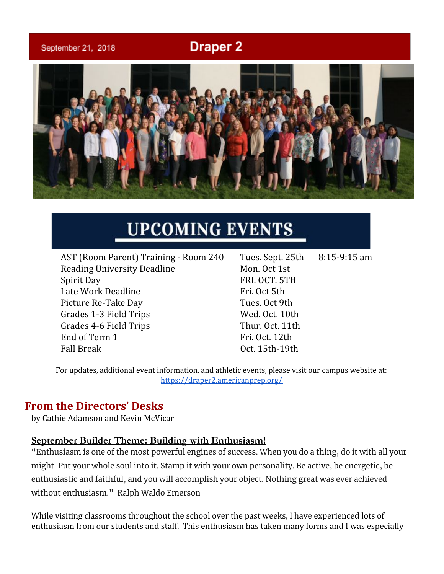# **Draper 2**

September 21, 2018



# **UPCOMING EVENTS**

AST (Room Parent) Training - Room 240 Tues. Sept. 25th 8:15-9:15 am Reading University Deadline Mon. Oct 1st Spirit Day FRI. OCT. 5TH Late Work Deadline Fri. Oct 5th Picture Re-Take Day Tues. Oct 9th Grades 1-3 Field Trips Wed. Oct. 10th Grades 4-6 Field Trips Thur. Oct. 11th End of Term 1 Fri. Oct. 12th Fall Break **Oct.** 15th-19th

For updates, additional event information, and athletic events, please visit our campus website at: <https://draper2.americanprep.org/>

### **From the Directors' Desks**

by Cathie Adamson and Kevin McVicar

#### **September Builder Theme: Building with Enthusiasm!**

"Enthusiasm is one of the most powerful engines of success. When you do a thing, do it with all your might. Put your whole soul into it. Stamp it with your own personality. Be active, be energetic, be enthusiastic and faithful, and you will accomplish your object. Nothing great was ever achieved without enthusiasm." Ralph Waldo Emerson

While visiting classrooms throughout the school over the past weeks, I have experienced lots of enthusiasm from our students and staff. This enthusiasm has taken many forms and I was especially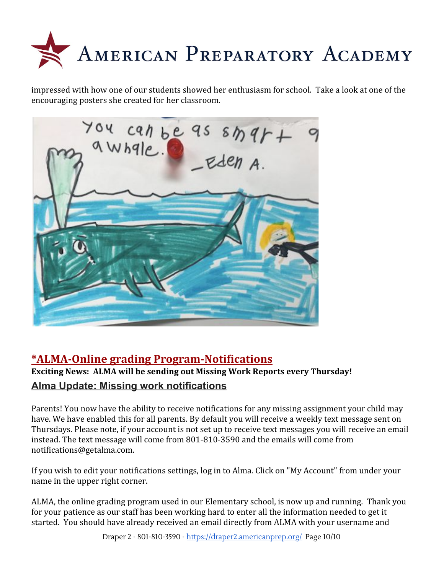

impressed with how one of our students showed her enthusiasm for school. Take a look at one of the encouraging posters she created for her classroom.



# **\*ALMA-Online grading Program-Notifications**

### **Exciting News: ALMA will be sending out Missing Work Reports every Thursday! Alma Update: Missing work notifications**

Parents! You now have the ability to receive notifications for any missing assignment your child may have. We have enabled this for all parents. By default you will receive a weekly text message sent on Thursdays. Please note, if your account is not set up to receive text messages you will receive an email instead. The text message will come from 801-810-3590 and the emails will come from notifications@getalma.com.

If you wish to edit your notifications settings, log in to Alma. Click on "My Account" from under your name in the upper right corner.

ALMA, the online grading program used in our Elementary school, is now up and running. Thank you for your patience as our staff has been working hard to enter all the information needed to get it started. You should have already received an email directly from ALMA with your username and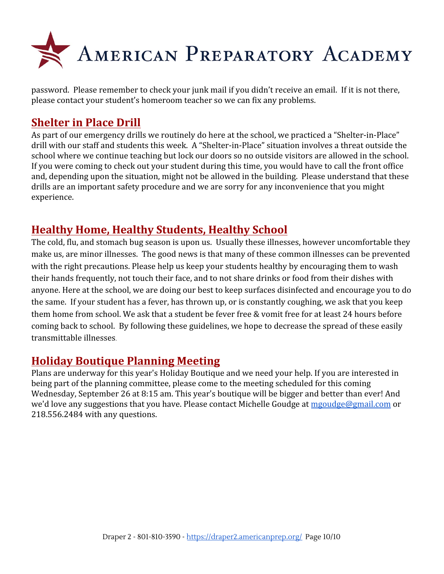

password. Please remember to check your junk mail if you didn't receive an email. If it is not there, please contact your student's homeroom teacher so we can fix any problems.

# **Shelter in Place Drill**

As part of our emergency drills we routinely do here at the school, we practiced a "Shelter-in-Place" drill with our staff and students this week. A "Shelter-in-Place" situation involves a threat outside the school where we continue teaching but lock our doors so no outside visitors are allowed in the school. If you were coming to check out your student during this time, you would have to call the front office and, depending upon the situation, might not be allowed in the building. Please understand that these drills are an important safety procedure and we are sorry for any inconvenience that you might experience.

### **Healthy Home, Healthy Students, Healthy School**

The cold, flu, and stomach bug season is upon us. Usually these illnesses, however uncomfortable they make us, are minor illnesses. The good news is that many of these common illnesses can be prevented with the right precautions. Please help us keep your students healthy by encouraging them to wash their hands frequently, not touch their face, and to not share drinks or food from their dishes with anyone. Here at the school, we are doing our best to keep surfaces disinfected and encourage you to do the same. If your student has a fever, has thrown up, or is constantly coughing, we ask that you keep them home from school. We ask that a student be fever free & vomit free for at least 24 hours before coming back to school. By following these guidelines, we hope to decrease the spread of these easily transmittable illnesses.

# **Holiday Boutique Planning Meeting**

Plans are underway for this year's Holiday Boutique and we need your help. If you are interested in being part of the planning committee, please come to the meeting scheduled for this coming Wednesday, September 26 at 8:15 am. This year's boutique will be bigger and better than ever! And we'd love any suggestions that you have. Please contact Michelle Goudge at [mgoudge@gmail.com](mailto:mgoudge@gmail.com) or 218.556.2484 with any questions.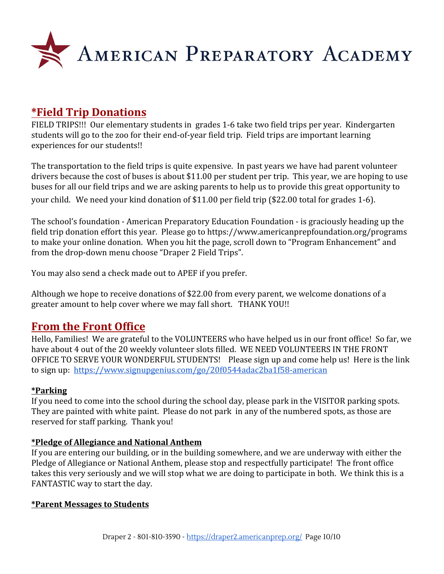

### **\*Field Trip Donations**

FIELD TRIPS!!! Our elementary students in grades 1-6 take two field trips per year. Kindergarten students will go to the zoo for their end-of-year field trip. Field trips are important learning experiences for our students!!

The transportation to the field trips is quite expensive. In past years we have had parent volunteer drivers because the cost of buses is about \$11.00 per student per trip. This year, we are hoping to use buses for all our field trips and we are asking parents to help us to provide this great opportunity to your child. We need your kind donation of \$11.00 per field trip (\$22.00 total for grades 1-6).

The school's foundation - American Preparatory Education Foundation - is graciously heading up the field trip donation effort this year. Please go to <https://www.americanprepfoundation.org/programs> to make your online donation. When you hit the page, scroll down to "Program Enhancement" and from the drop-down menu choose "Draper 2 Field Trips".

You may also send a check made out to APEF if you prefer.

Although we hope to receive donations of \$22.00 from every parent, we welcome donations of a greater amount to help cover where we may fall short. THANK YOU!!

### **From the Front Office**

Hello, Families! We are grateful to the VOLUNTEERS who have helped us in our front office! So far, we have about 4 out of the 20 weekly volunteer slots filled. WE NEED VOLUNTEERS IN THE FRONT OFFICE TO SERVE YOUR WONDERFUL STUDENTS! Please sign up and come help us! Here is the link to sign up: <https://www.signupgenius.com/go/20f0544adac2ba1f58-american>

#### **\*Parking**

If you need to come into the school during the school day, please park in the VISITOR parking spots. They are painted with white paint. Please do not park in any of the numbered spots, as those are reserved for staff parking. Thank you!

#### **\*Pledge of Allegiance and National Anthem**

If you are entering our building, or in the building somewhere, and we are underway with either the Pledge of Allegiance or National Anthem, please stop and respectfully participate! The front office takes this very seriously and we will stop what we are doing to participate in both. We think this is a FANTASTIC way to start the day.

#### **\*Parent Messages to Students**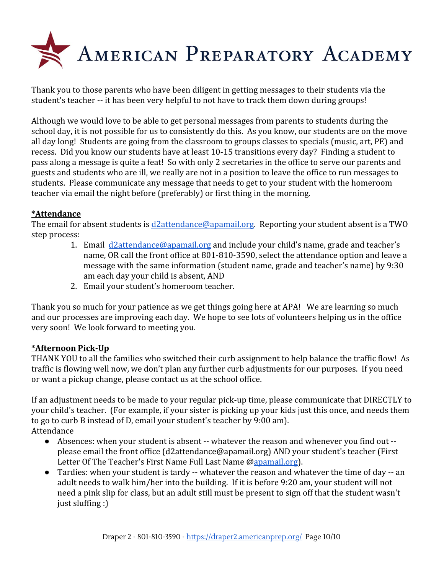

Thank you to those parents who have been diligent in getting messages to their students via the student's teacher -- it has been very helpful to not have to track them down during groups!

Although we would love to be able to get personal messages from parents to students during the school day, it is not possible for us to consistently do this. As you know, our students are on the move all day long! Students are going from the classroom to groups classes to specials (music, art, PE) and recess. Did you know our students have at least 10-15 transitions every day? Finding a student to pass along a message is quite a feat! So with only 2 secretaries in the office to serve our parents and guests and students who are ill, we really are not in a position to leave the office to run messages to students. Please communicate any message that needs to get to your student with the homeroom teacher via email the night before (preferably) or first thing in the morning.

#### **\*Attendance**

The email for absent students is [d2attendance@apamail.org](mailto:d2attendance@apamail.org). Reporting your student absent is a TWO step process:

- 1. Email [d2attendance@apamail.org](mailto:d2attendance@apamail.org) and include your child's name, grade and teacher's name, OR call the front office at 801-810-3590, select the attendance option and leave a message with the same information (student name, grade and teacher's name) by 9:30 am each day your child is absent, AND
- 2. Email your student's homeroom teacher.

Thank you so much for your patience as we get things going here at APA! We are learning so much and our processes are improving each day. We hope to see lots of volunteers helping us in the office very soon! We look forward to meeting you.

#### **\*Afternoon Pick-Up**

THANK YOU to all the families who switched their curb assignment to help balance the traffic flow! As traffic is flowing well now, we don't plan any further curb adjustments for our purposes. If you need or want a pickup change, please contact us at the school office.

If an adjustment needs to be made to your regular pick-up time, please communicate that DIRECTLY to your child's teacher. (For example, if your sister is picking up your kids just this once, and needs them to go to curb B instead of D, email your student's teacher by 9:00 am). Attendance

- Absences: when your student is absent -- whatever the reason and whenever you find out please email the front office (d2attendance@apamail.org) AND your student's teacher (First Letter Of The Teacher's First Name Full Last Name @[apamail.org\)](http://apamail.org/).
- Tardies: when your student is tardy -- whatever the reason and whatever the time of day -- an adult needs to walk him/her into the building. If it is before 9:20 am, your student will not need a pink slip for class, but an adult still must be present to sign off that the student wasn't just sluffing :)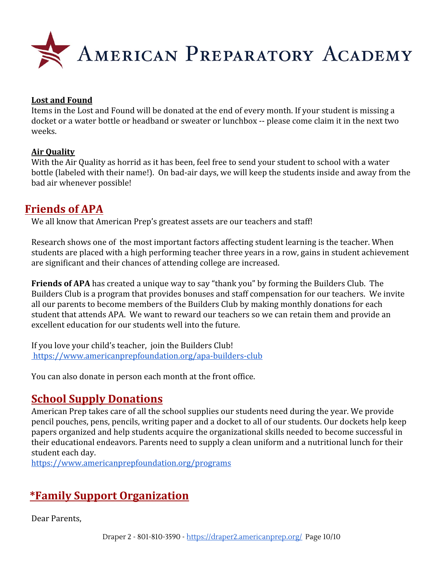

#### **Lost and Found**

Items in the Lost and Found will be donated at the end of every month. If your student is missing a docket or a water bottle or headband or sweater or lunchbox -- please come claim it in the next two weeks.

#### **Air Quality**

With the Air Quality as horrid as it has been, feel free to send your student to school with a water bottle (labeled with their name!). On bad-air days, we will keep the students inside and away from the bad air whenever possible!

### **Friends of APA**

We all know that American Prep's greatest assets are our teachers and staff!

Research shows one of the most important factors affecting student learning is the teacher. When students are placed with a high performing teacher three years in a row, gains in student achievement are significant and their chances of attending college are increased.

**Friends of APA** has created a unique way to say "thank you" by forming the Builders Club. The Builders Club is a program that provides bonuses and staff compensation for our teachers. We invite all our parents to become members of the Builders Club by making monthly donations for each student that attends APA. We want to reward our teachers so we can retain them and provide an excellent education for our students well into the future.

If you love your child's teacher, join the Builders Club! <https://www.americanprepfoundation.org/apa-builders-club>

You can also donate in person each month at the front office.

# **School Supply Donations**

American Prep takes care of all the school supplies our students need during the year. We provide pencil pouches, pens, pencils, writing paper and a docket to all of our students. Our dockets help keep papers organized and help students acquire the organizational skills needed to become successful in their educational endeavors. Parents need to supply a clean uniform and a nutritional lunch for their student each day.

<https://www.americanprepfoundation.org/programs>

# **\*Family Support Organization**

Dear Parents,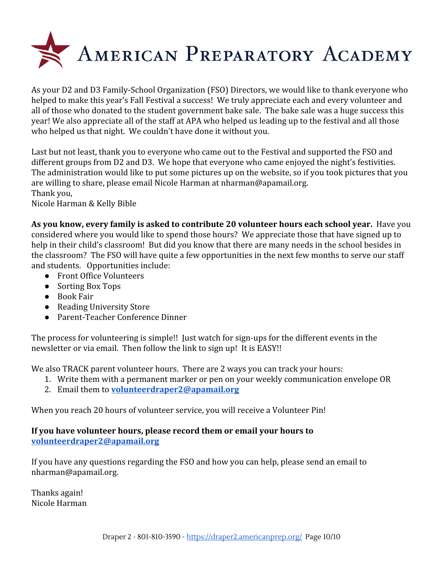

As your D2 and D3 Family-School Organization (FSO) Directors, we would like to thank everyone who helped to make this year's Fall Festival a success! We truly appreciate each and every volunteer and all of those who donated to the student government bake sale. The bake sale was a huge success this year! We also appreciate all of the staff at APA who helped us leading up to the festival and all those who helped us that night. We couldn't have done it without you.

Last but not least, thank you to everyone who came out to the Festival and supported the FSO and different groups from D2 and D3. We hope that everyone who came enjoyed the night's festivities. The administration would like to put some pictures up on the website, so if you took pictures that you are willing to share, please email Nicole Harman at nharman@apamail.org. Thank you,

Nicole Harman & Kelly Bible

**As you know, every family is asked to contribute 20 volunteer hours each school year.** Have you considered where you would like to spend those hours? We appreciate those that have signed up to help in their child's classroom! But did you know that there are many needs in the school besides in the classroom? The FSO will have quite a few opportunities in the next few months to serve our staff and students. Opportunities include:

- Front Office Volunteers
- Sorting Box Tops
- Book Fair
- Reading University Store
- Parent-Teacher Conference Dinner

The process for volunteering is simple!! Just watch for sign-ups for the different events in the newsletter or via email. Then follow the link to sign up! It is EASY!!

We also TRACK parent volunteer hours. There are 2 ways you can track your hours:

- 1. Write them with a permanent marker or pen on your weekly communication envelope OR
- 2. Email them to **[volunteerdraper2@apamail.org](mailto:volunteerdraper2@apamail.org)**

When you reach 20 hours of volunteer service, you will receive a Volunteer Pin!

#### **If you have volunteer hours, please record them or email your hours to [volunteerdraper2@apamail.org](mailto:volunteerdraper2@apamail.org)**

If you have any questions regarding the FSO and how you can help, please send an email to nharman@apamail.org.

Thanks again! Nicole Harman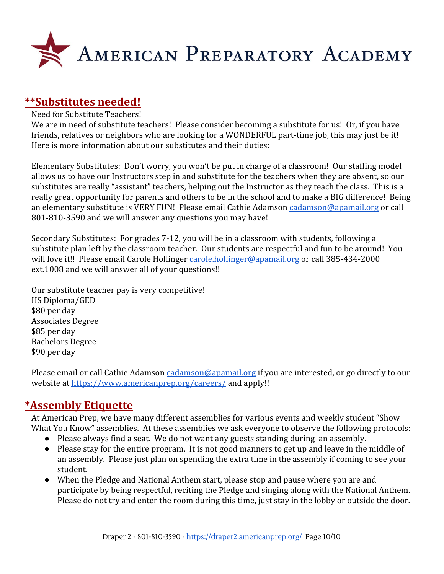

### **\*\*Substitutes needed!**

#### Need for Substitute Teachers!

We are in need of substitute teachers! Please consider becoming a substitute for us! Or, if you have friends, relatives or neighbors who are looking for a WONDERFUL part-time job, this may just be it! Here is more information about our substitutes and their duties:

Elementary Substitutes: Don't worry, you won't be put in charge of a classroom! Our staffing model allows us to have our Instructors step in and substitute for the teachers when they are absent, so our substitutes are really "assistant" teachers, helping out the Instructor as they teach the class. This is a really great opportunity for parents and others to be in the school and to make a BIG difference! Being an elementary substitute is VERY FUN! Please email Cathie Adamson [cadamson@apamail.org](mailto:cadamson@apamail.org) or call 801-810-3590 and we will answer any questions you may have!

Secondary Substitutes: For grades 7-12, you will be in a classroom with students, following a substitute plan left by the classroom teacher. Our students are respectful and fun to be around! You will love it!! Please email Carole Hollinger [carole.hollinger@apamail.org](mailto:carole.hollinger@apamail.org) or call 385-434-2000 ext.1008 and we will answer all of your questions!!

Our substitute teacher pay is very competitive! HS Diploma/GED \$80 per day Associates Degree \$85 per day Bachelors Degree \$90 per day

Please email or call Cathie Adamson [cadamson@apamail.org](mailto:cadamson@apamail.org) if you are interested, or go directly to our website at<https://www.americanprep.org/careers/>and apply!!

### **\*Assembly Etiquette**

At American Prep, we have many different assemblies for various events and weekly student "Show What You Know" assemblies. At these assemblies we ask everyone to observe the following protocols:

- Please always find a seat. We do not want any guests standing during an assembly.
- Please stay for the entire program. It is not good manners to get up and leave in the middle of an assembly. Please just plan on spending the extra time in the assembly if coming to see your student.
- When the Pledge and National Anthem start, please stop and pause where you are and participate by being respectful, reciting the Pledge and singing along with the National Anthem. Please do not try and enter the room during this time, just stay in the lobby or outside the door.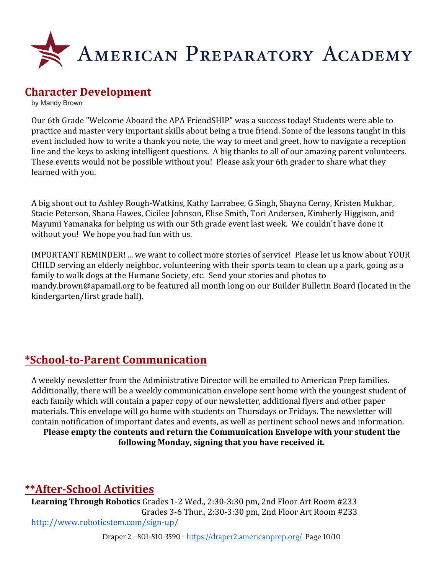

### **Character Development**

by Mandy Brown

Our 6th Grade "Welcome Aboard the APA FriendSHIP" was a success today! Students were able to practice and master very important skills about being a true friend. Some of the lessons taught in this event included how to write a thank you note, the way to meet and greet, how to navigate a reception line and the keys to asking intelligent questions. A big thanks to all of our amazing parent volunteers. These events would not be possible without you! Please ask your 6th grader to share what they learned with you.

A big shout out to Ashley Rough-Watkins, Kathy Larrabee, G Singh, Shayna Cerny, Kristen Mukhar, Stacie Peterson, Shana Hawes, Cicilee Johnson, Elise Smith, Tori Andersen, Kimberly Higgison, and Mayumi Yamanaka for helping us with our 5th grade event last week. We couldn't have done it without you! We hope you had fun with us.

IMPORTANT REMINDER! ... we want to collect more stories of service! Please let us know about YOUR CHILD serving an elderly neighbor, volunteering with their sports team to clean up a park, going as a family to walk dogs at the Humane Society, etc. Send your stories and photos to mandy.brown@apamail.org to be featured all month long on our Builder Bulletin Board (located in the kindergarten/first grade hall).

# **\*School-to-Parent Communication**

A weekly newsletter from the Administrative Director will be emailed to American Prep families. Additionally, there will be a weekly communication envelope sent home with the youngest student of each family which will contain a paper copy of our newsletter, additional flyers and other paper materials. This envelope will go home with students on Thursdays or Fridays. The newsletter will contain notification of important dates and events, as well as pertinent school news and information. **Please empty the contents and return the Communication Envelope with your student the following Monday, signing that you have received it.**

### **\*\*After-School Activities**

**Learning Through Robotics** Grades 1-2 Wed., 2:30-3:30 pm, 2nd Floor Art Room #233 Grades 3-6 Thur., 2:30-3:30 pm, 2nd Floor Art Room #233 <http://www.roboticstem.com/sign-up/>